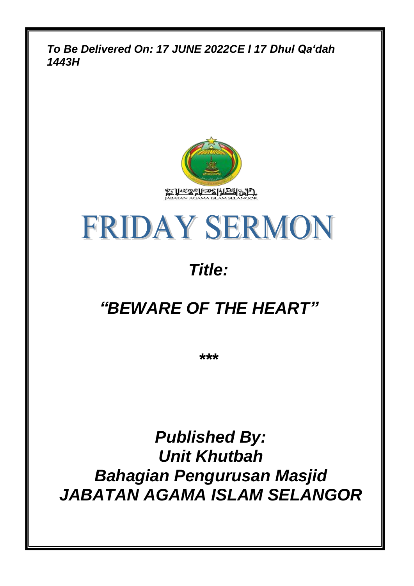*To Be Delivered On: 17 JUNE 2022CE l 17 Dhul Qa'dah 1443H*



# **FRIDAY SERMON**

# *Title:*

## *"BEWARE OF THE HEART"*

*\*\*\**

*Published By: Unit Khutbah Bahagian Pengurusan Masjid JABATAN AGAMA ISLAM SELANGOR*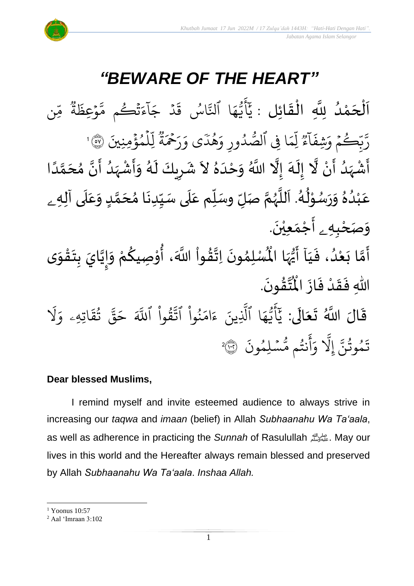

### *"BEWARE OF THE HEART"*

.<br>با ن<br>•<br>• اَلْحَمْدُ لِلَّهِ الْقَائِلِ : يَأَيُّهَا ٱلنَّاسُ قَدْ جَآءَتُكُم مَّوْعِظَةُ مِّن و<br>و ់<br>ត  $\overline{\phantom{a}}$ ֦֧֦֧֦֧֦֧֦֦֦֜֜֜֜֜֜֜֜֜<br>**֦֘**  $\overline{\phantom{a}}$  $\frac{1}{2}$ ֦֧֦֧֦֧֦֧֦֧֦֧֦֧֜֜֜֜֓֓<br>**֡** ∝<br>م وو<br>په ة  $\tilde{\cdot}$ ِعظ و  $\frac{1}{2}$ ىد<br>م تُڪُم مَّ و  $\ddot{\textbf{3}}$ ر<br>ء ء  $\tilde{1}$ ا  $\overline{\phantom{a}}$ ج د ہ<br>ا  $\ddot{\cdot}$ ق اس ُ ىد<br>م ا آلتَّ ر<br>م ه و<br>د سَ<br>ڊ ِ<br>ج أ ِ<br>د بد ِمنِنيَ ؤ م ِل ہ<br>ء و ہ<br>1 ں<br>آ ل وو<br>په ة  $\hat{\tilde{\mathbf{z}}}$ ِ<br>۔<br>۔ ِ<br>پ ر  $\frac{1}{2}$ ى و ֦֝<br>֧֓֝֝֝֝֝֝֝<br>֝֝֝֝֝ دیز<br>هد و<br>ج  $\frac{1}{\alpha}$ دُورِ وَّ و<br>ا و<br>ر ا ِِف ٱلص ر<br>م ِم وو<br>وو ا ل <sup>وو</sup><br>ع ۔<br>آ ا  $\ddot{\cdot}$ ِشف  $\frac{1}{2}$ ڪُمُ وَر  $\frac{1}{2}$ و ں<br>د رَّبَّكُمْ وَشِفَآءٌ لِّمَا فِي ٱلصُّدُورِ وَهُدَى وَرَحْمَةٌ لِّلْمُؤْمِنِينَ ۞ 1 الا<br>ا حَرَ<br>أَشْہَدُ أَنْ لَّا إِلَهَ إِلَّا اللَّهُ وَحْدَهُ لاَ شَرِيكَ لَهُ وَأَشْہَدُ أَنَّ مُحَمَّدًا ំ<br>• ا<br>ب و<br>ا ر<br>زار ا<br>د ا<br>بنج ં<br>ત  $\tilde{\cdot}$  $\frac{1}{2}$ ً<br>أ ل<br>م  $\frac{1}{2}$ انا سمبر<br>پنج ،<br>' ر<br>په ْ تر<br>پ  $\tilde{\cdot}$ ر<br>ر ِ<br>پ  $\overline{\phantom{a}}$  $\mathbf{r}$  $\tilde{\phantom{0}}$  $\frac{2}{\lambda}$ َ  $\frac{1}{2}$ ے۔<br>ا ់<br>^ عَبْدُهُ وَرَسُوْلُهُ. اَللَّهُمَّ صَلِّ وسَلِّم عَلَى سَيِّدِنَا مُحَمَّدٍ وَعَلَى آلِه<sub>ِ ــُ</sub> و<br>م  $\ddot{\phantom{0}}$  $\tilde{\cdot}$  $\frac{1}{2}$ ٍ<br>و ْ ً<br>م  $\overline{\mathbf{r}}$  $\frac{1}{2}$  $\tilde{\cdot}$ <u>لم</u> لة<br>م ๋<br>ጎ  $\ddot{\phantom{0}}$  $\frac{1}{1}$  $\overline{\mathbf{1}}$ .<br>م  $\tilde{\mathbf{i}}$ تا<br>م ر<br>ر<br>ر سنة<br>ا ً<br>آ ر<br>د  $\frac{1}{\epsilon}$ و*َص<sub>َ</sub>حْبِهِ <sub>ۦ</sub> أَجْمَعِيْنَ.* ْ  $\ddot{\phantom{0}}$ ់<br>(  $\tilde{a}$  $\frac{1}{2}$ لَّا بَعْدُ، فَيَا أَيُّهَا الْمُسْلِمُونَ اِتَّقُواْ اللَّهَ، أُوْصِيكُمْ وَإِيَّايَ بِتَقْوَى  $\frac{1}{1}$  $\frac{1}{2}$ ُ<br>و ْ<br>ْ  $\tilde{\cdot}$ لة<br>م ِ<br>پنج  $\tilde{\cdot}$ ֦֧<u>֦</u>  $\ddot{\phantom{0}}$  $\frac{1}{2}$ ان<br>ا |<br>|<br>|  $\tilde{\cdot}$ ر<br>م ֦֧֦֧֦ **ہے**<br>' ؗ<br>ا **ٍ** الله  $\ddot{\phantom{0}}$ ›<br>ለ أَيُّهَا الْمُأْ ِ<br>په ر <sup>ن</sup>ُ<br>• े<br>नि .  $\ddot{\phantom{0}}$ ؾڤؤنَ  $\frac{9}{4}$ ا<br>ایر<br>جو ہ<br>ا اللّٰهِ فَقَدْ فَازَ الْمُ  $\ddot{\cdot}$  $\frac{1}{2}$ ْ  $\frac{1}{2}$  $\ddot{\cdot}$ ً<br>الم قَالَ اللَّهُ تَعَالَى:  $\frac{1}{2}$  $\ddot{\phantom{0}}$  $\ddot{\mathbf{r}}$ ر<br>1 َل  $\frac{1}{\alpha}$ اتِهِۦ و  $\ddot{\mathbf{z}}$ ؞ٛ؞ۧ<br>تق و<br>به ِ<br>په قی  $\tilde{\phantom{a}}$ ح ِ<br>آک قُوا اللَّهَ **ٔ** ور ِ<br>په نُوا اڌّ <u>ہ</u><br>ا ُ  $\frac{1}{2}$ ام  $\tilde{\epsilon}$ ء ِينَ یہ<br>۱ ا الَّذِ ِ<br>م ه و<br>د سَ<br>ڊ -<br>ج  $\overline{\mathcal{L}}$ ِ<br>د ي  $\ddot{\cdot}$ سْلِمُونَ و  $\ddot{\phantom{0}}$ و<br>مم نتُم مَّ و<br>په ِ<br>ج أ  $\frac{1}{c}$ و ِ<br>آ َِل إ ِ<br>پَ تَمُوثُنَّ إِلَّا وَأَنتُم مُّسۡلِمُونَ ۞ و<br>په و 2

#### **Dear blessed Muslims,**

I remind myself and invite esteemed audience to always strive in increasing our *taqwa* and *imaan* (belief) in Allah *Subhaanahu Wa Ta'aala*, as well as adherence in practicing the *Sunnah* of Rasulullah صلى الله عليه وسلم. May our lives in this world and the Hereafter always remain blessed and preserved by Allah *Subhaanahu Wa Ta'aala*. *Inshaa Allah.*

<sup>1</sup> Yoonus 10:57

<sup>2</sup> Aal 'Imraan 3:102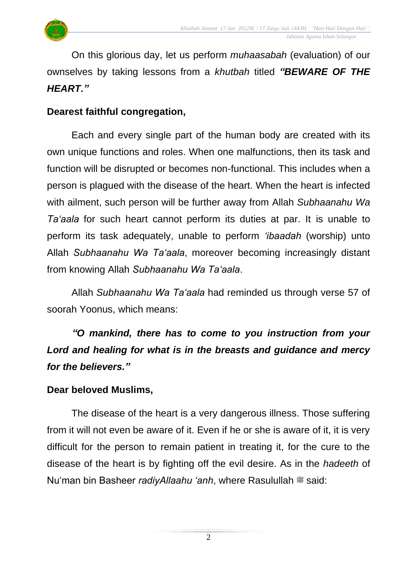

On this glorious day, let us perform *muhaasabah* (evaluation) of our ownselves by taking lessons from a *khutbah* titled *"BEWARE OF THE HEART."*

#### **Dearest faithful congregation,**

Each and every single part of the human body are created with its own unique functions and roles. When one malfunctions, then its task and function will be disrupted or becomes non-functional. This includes when a person is plagued with the disease of the heart. When the heart is infected with ailment, such person will be further away from Allah *Subhaanahu Wa Ta'aala* for such heart cannot perform its duties at par. It is unable to perform its task adequately, unable to perform *'ibaadah* (worship) unto Allah *Subhaanahu Wa Ta'aala*, moreover becoming increasingly distant from knowing Allah *Subhaanahu Wa Ta'aala*.

Allah *Subhaanahu Wa Ta'aala* had reminded us through verse 57 of soorah Yoonus, which means:

*"O mankind, there has to come to you instruction from your Lord and healing for what is in the breasts and guidance and mercy for the believers."*

#### **Dear beloved Muslims,**

The disease of the heart is a very dangerous illness. Those suffering from it will not even be aware of it. Even if he or she is aware of it, it is very difficult for the person to remain patient in treating it, for the cure to the disease of the heart is by fighting off the evil desire. As in the *hadeeth* of Nu'man bin Basheer *radiyAllaahu 'anh*, where Rasulullah  $\stackrel{\text{def}}{=}$  said: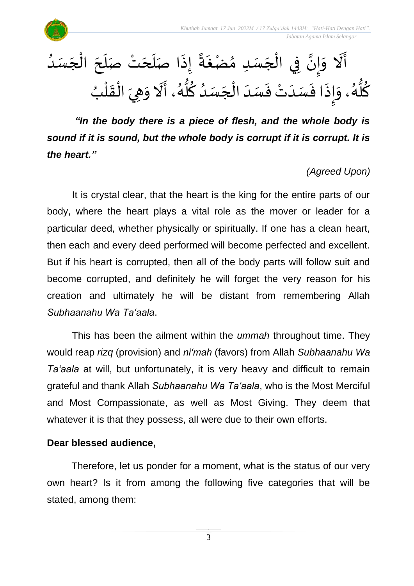

ا<br>ا أَلَا وَإِنَّ فِي الْجَسَدِ مُضْغَةً إِذَا صَلَحَتْ صَلَحَ الْجَسَدُ  $\overline{\phantom{a}}$ ֦֧֦֧֦֧֦֧֦֧֦֧֦֧֧֦֧֝֝֝֟֓֓֓֜֜֓֓<br>**֡** َ  $\overline{\phantom{a}}$  $\overline{\phantom{a}}$ َ  $\ddot{\cdot}$ ً<br>أ∙ّ  $\ddot{\phantom{0}}$  $\frac{1}{2}$  $\overline{\phantom{a}}$ ْ بة<br>• |<br>=<br>=  $\frac{1}{2}$ ِ<br>اُم ົ $\vdots$ ُ كُلُّهُ، وَإِذَا فَسَدَتْ فَسَدَ الْجَسَدُ كُلُّهُ، أَلَا وَهِيَ الْقَلْبُ ់<br>(  $\frac{1}{2}$ ֦֧֦֧֦֧<u>֦</u>  $\frac{1}{2}$  $\frac{1}{2}$ َ<br>اُم  $\frac{1}{2}$ ر<br>گ بر<br>گھا<br>گھا ِ<br>م ٍ<br>ا  $\overline{\phantom{a}}$ ْ  $\frac{1}{1}$  $\frac{1}{2}$ ْ <del>بہ</del><br>∙  $\frac{1}{2}$  $\ddot{\cdot}$ l<br>ミ  $\frac{1}{2}$ و<br>گ ہ<br>ما <u>ہ</u>

*"In the body there is a piece of flesh, and the whole body is sound if it is sound, but the whole body is corrupt if it is corrupt. It is the heart."* 

#### *(Agreed Upon)*

It is crystal clear, that the heart is the king for the entire parts of our body, where the heart plays a vital role as the mover or leader for a particular deed, whether physically or spiritually. If one has a clean heart, then each and every deed performed will become perfected and excellent. But if his heart is corrupted, then all of the body parts will follow suit and become corrupted, and definitely he will forget the very reason for his creation and ultimately he will be distant from remembering Allah *Subhaanahu Wa Ta'aala*.

This has been the ailment within the *ummah* throughout time. They would reap *rizq* (provision) and *ni'mah* (favors) from Allah *Subhaanahu Wa Ta'aala* at will, but unfortunately, it is very heavy and difficult to remain grateful and thank Allah *Subhaanahu Wa Ta'aala*, who is the Most Merciful and Most Compassionate, as well as Most Giving. They deem that whatever it is that they possess, all were due to their own efforts.

#### **Dear blessed audience,**

Therefore, let us ponder for a moment, what is the status of our very own heart? Is it from among the following five categories that will be stated, among them: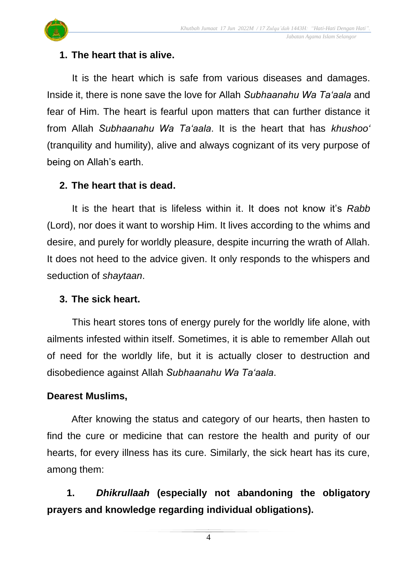

#### **1. The heart that is alive.**

It is the heart which is safe from various diseases and damages. Inside it, there is none save the love for Allah *Subhaanahu Wa Ta'aala* and fear of Him. The heart is fearful upon matters that can further distance it from Allah *Subhaanahu Wa Ta'aala*. It is the heart that has *khushoo'* (tranquility and humility), alive and always cognizant of its very purpose of being on Allah's earth.

#### **2. The heart that is dead.**

It is the heart that is lifeless within it. It does not know it's *Rabb* (Lord), nor does it want to worship Him. It lives according to the whims and desire, and purely for worldly pleasure, despite incurring the wrath of Allah. It does not heed to the advice given. It only responds to the whispers and seduction of *shaytaan*.

#### **3. The sick heart.**

This heart stores tons of energy purely for the worldly life alone, with ailments infested within itself. Sometimes, it is able to remember Allah out of need for the worldly life, but it is actually closer to destruction and disobedience against Allah *Subhaanahu Wa Ta'aala*.

#### **Dearest Muslims,**

After knowing the status and category of our hearts, then hasten to find the cure or medicine that can restore the health and purity of our hearts, for every illness has its cure. Similarly, the sick heart has its cure, among them:

**1.** *Dhikrullaah* **(especially not abandoning the obligatory prayers and knowledge regarding individual obligations).**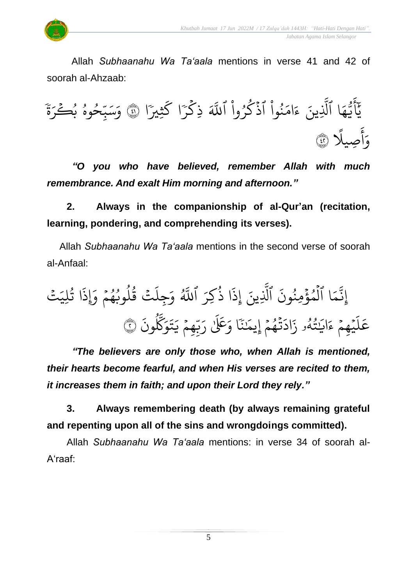

Allah *Subhaanahu Wa Ta'aala* mentions in verse 41 and 42 of soorah al-Ahzaab:

يَّأَيُّهَا ٱلَّذِينَ ءَامَنُواْ ٱذۡكُرُواْ ٱللَّهَ ذِكۡرَا كَثِيرَا ا ك ،<br>اس<sup>ت</sup> ر ذِك ر<br>م ہ<br>آکے نُّوا آذَكَرُوا اللَّهَ ْ ُ و<br>م  $\ddot{\cdot}$ ْ ُو<br>و  $\frac{1}{2}$ ام  $\tilde{\zeta}$ ء ِينَ ِ<br>آ ا آلَذِ ر<br>م ه و<br>د سَ<br>ڊ ِ<br>ج يَّأَيُّهَا ٱلَّذِينَ ءَامَنُواْ ٱذْكُرُواْ ٱللَّهَ ذِكْرَا كَثِيرًا ۞ وَسَبِّحُوهُ بُكَرَةَ  $rac{1}{2}$ ِرِ حُوهُ بُكَرَ و<br>م و ں<br>س س<br>بد ِ<br>س بر<br>سد  $\frac{1}{\alpha}$ و ِصي ِ<br>ج أ  $\frac{1}{c}$ و ا<br>آ ًل ٤٢

*"O you who have believed, remember Allah with much remembrance. And exalt Him morning and afternoon."*

**2. Always in the companionship of al-Qur'an (recitation, learning, pondering, and comprehending its verses).**

Allah *Subhaanahu Wa Ta'aala* mentions in the second verse of soorah al-Anfaal:

ِ<br>پَٽُ لِي ا ت و<br>په  $\ddot{\cdot}$ لَتۡ قُلُوبُهُمۡ وَإِذَ  $\frac{1}{2}$ و و<br>د و<br>ا ور ِجل  $\frac{1}{\alpha}$ .<br>و. ِ<br>آھ<br>آھ اللَّهُ ِ<br>م كِر ا ذ ُ  $\ddot{\cdot}$ إِذ ِينَ ِ<br>آ الَّذِ  $\ddot{\cdot}$ ا اَلْمُؤْمِنُونَ ُو<br>و ہ<br>\$ و ہ<br>ا  $\frac{1}{2}$ ء<br>م ِ<br>په إِن  $\ddot{\cdot}$ ون ِ<br>پرو َّك ِ<br>م ۔<br>و  $\ddot{\phantom{0}}$ ت  $\tilde{\cdot}$ عِمۡ يَـ  $\frac{1}{2}$ .<br>م ب<br>ب ِ<br>پ ًا وَعَلَىٰ رَ َٰ ٗ بر<br>م َٰ  $\overline{\phantom{a}}$ تُهُمْ إِيمَا  $\frac{1}{2}$ و<br>م  $\ddot{\cdot}$  $\tilde{\cdot}$ اد  $\ddot{\cdot}$ ئنەو ز و<br>لم و<br>په ؚ<br>֖֡֟֟֟֟֟֟֟֟֟֟֟֟֟֟֟֟֟֟֟֟֟֟֟֟֟֟֩*֟*  $\overline{a}$ اي  $\tilde{\epsilon}$ ي<u>ُ</u>هِمْ ءَ  $\frac{1}{2}$  $\ddot{\phantom{0}}$ ر<br>آ عَلَيْهِمْ ءَايَتُهُو زَادَتْهُمْ إِيمَنَا وَعَلَىٰ رَبّهِمْ يَتَوَكَّلُونَ ۞

*"The believers are only those who, when Allah is mentioned, their hearts become fearful, and when His verses are recited to them, it increases them in faith; and upon their Lord they rely."*

**3. Always remembering death (by always remaining grateful and repenting upon all of the sins and wrongdoings committed).**

Allah *Subhaanahu Wa Ta'aala* mentions: in verse 34 of soorah al-A'raaf: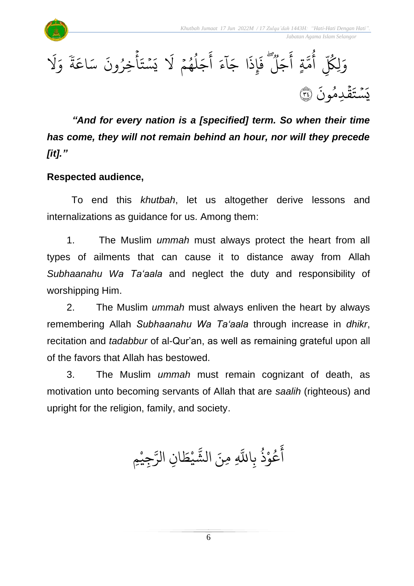$\ddot{\phantom{0}}$ 



*"And for every nation is a [specified] term. So when their time has come, they will not remain behind an hour, nor will they precede [it]."*

#### **Respected audience,**

To end this *khutbah*, let us altogether derive lessons and internalizations as guidance for us. Among them:

1. The Muslim *ummah* must always protect the heart from all types of ailments that can cause it to distance away from Allah *Subhaanahu Wa Ta'aala* and neglect the duty and responsibility of worshipping Him.

2. The Muslim *ummah* must always enliven the heart by always remembering Allah *Subhaanahu Wa Ta'aala* through increase in *dhikr*, recitation and *tadabbur* of al-Qur'an, as well as remaining grateful upon all of the favors that Allah has bestowed.

3. The Muslim *ummah* must remain cognizant of death, as motivation unto becoming servants of Allah that are *saalih* (righteous) and upright for the religion, family, and society.

> ال ِ ِمنَ َّ عُوْذُ بِاللَّهِ و<br>په **ٔ** و<br>م ِ<br>ج آَعُوْذُ بِاللَّهِ مِنَ الشَّيْطَانِ الرَّجِيْمِ **ٔ** ِ<br>سَ ِن الر ا  $\tilde{\cdot}$ يْط **ٔ** ں<br>م ش

> > 6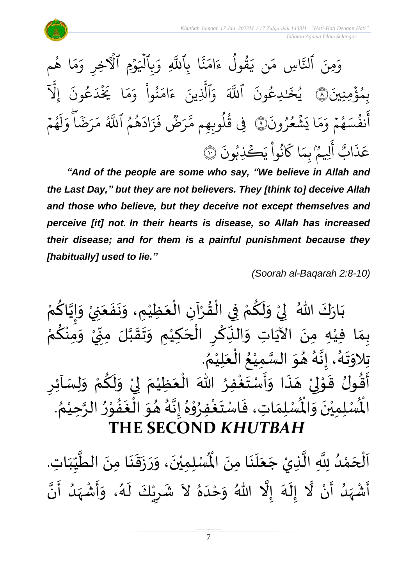

*"And of the people are some who say, "We believe in Allah and the Last Day," but they are not believers. They [think to] deceive Allah and those who believe, but they deceive not except themselves and perceive [it] not. In their hearts is disease, so Allah has increased their disease; and for them is a painful punishment because they [habitually] used to lie."*

*(Soorah al-Baqarah 2:8-10)*

بَارَكَ اللّهُ ۖ لِيْ وَلَكُمْ فِي الْقُرْآنِ الْعَظِيْمِ، وَنَفَعَنِيْ وَإِيَّاكُمْ ْ  $\frac{9}{4}$ ֦֧֦֧֦֧֦֧֦֧֦֧֦֧֦֦֦֦֦֦֜֜֜֜֓֓֜֜֜֜֜֟֓<br>**֡** ْ <u>و</u>  $\tilde{\mathbf{r}}$  $\tilde{ }$ ْ  $\frac{1}{2}$  $\ddot{\phantom{0}}$ ْ َ  $\ddot{\phantom{0}}$  $\ddot{\phantom{0}}$  $\tilde{\cdot}$ ْ  $\overline{\phantom{a}}$ ْ ْ <u>ل</u>و ن<br>ا !<br>-<br>- $\tilde{\cdot}$ ْ .<br>بِمَا فِيْهِ مِنَ الآيَاتِ وَالذِّكْرِ الْحَكِيْمِ وَتَقَبَّلَ مِنِّيْ وَمِنْكُمْ ں<br>م ້<br>•<br>•  $\tilde{\cdot}$ .<br>` -<br>-<br>- $\sum$ ن<br>ا ا<br>:  $\frac{1}{2}$ ..<br>-<br>^ ֦֦֦֦֦֦֝֝֝֝֝֝**֦** َ ֦֧֦֦֦֦֦֧֦֝֝֝֝<br>**֘**֧֓֝  $\sum$ ؚ<br>م  $\ddot{\bullet}$  $\frac{1}{2}$ ِ<br>نہ  $\ddot{\phantom{0}}$ ْ<br>ْ  $\frac{1}{2}$ . े<br>१ تِلاوَتَهُ، إِنَّهُ هُوَ السَّمِيْعُ الْعَلِيْمُ ْ بہ<br>م ֫**֘** ⁄<br>ै ْ ا<br>ما  $\frac{1}{2}$  $\frac{1}{2}$ ب<br>ر<br>ا بة<br>•  $\frac{1}{2}$ ب<br>د<br>ا  $\ddot{\phantom{0}}$  $\frac{1}{2}$ ُ- ركن موسى السَّمَورُ اللهَ الْعَظِيْمَ لِيْ وَلَكُمْ وَلِسَاْئِرِ<br>أَقُولُ قَوْلِيْ هَذَا وَأَسْتَغْفِرُ اللهَ الْعَظِيْمَ لِيْ وَلَكُمْ وَلِسَاْئِرِ ْ<br>؛  $\frac{1}{2}$  $\frac{1}{2}$  $\frac{1}{2}$  $\ddot{\cdot}$ ∕<br>-<br>▲ ْ ا ់<br>្  $\frac{1}{2}$ اء<br>پيد د<br>ج  $\sum$  $\tilde{\cdot}$ ْ <u>،</u>  $\tilde{\mathbf{r}}$  $\frac{1}{2}$ ْ إ  $\frac{1}{2}$ ٝ<br>ؙ  $\frac{1}{2}$ ْ . ُ<br>∕ رت<br>الْمُسْلِمِيْنَ وَالْمُسْلِمَاتِ، فَاسْتَغْفِرُوْهُ إِنَّهُ هُوَ الْغَفُوْرُ الرَّحِيْمُ ْ ا<br>تار  $\frac{1}{2}$ ֦֧֝<br>**֧** الا<br>ج  $\ddot{\phantom{0}}$ **ٔ** ا<br>-—<br>با<br>م —<br>}<br>] ا<br>ما<br>•  $\frac{1}{2}$ **ہ**<br>▲ י<br>י **ء** ْ<br>ْ  $\frac{1}{2}$  $\frac{1}{2}$  $\frac{1}{2}$ جون جوي .<br>اُُفس : اُ **ا:**<br>^ ∕<br>-<br>◆ ់<br>**់ THE SECOND** *KHUTBAH*

و<br>ا اَلْحَمْدُ لِلَّهِ الَّذِيْ جَعَلَنَا مِنَ الْمُمْلِمِيْنَ، وَرَزَقَنَا مِنَ الطَّيِّبَاتِ ْ  $\overline{\phantom{a}}$ ֦֧֦֧֦֧֦֧֦֧֦֧֦֧֜֜֜֓֓֟֓֟֓<br>**֡**  $\overline{\phantom{a}}$  $\frac{1}{1}$ しんこ  $\frac{1}{2}$ ا<br>ا  $\ddot{\phantom{0}}$  $\ddot{\phantom{0}}$  $\frac{1}{2}$  $\ddot{\cdot}$  $\overline{\phantom{a}}$  $\tilde{\cdot}$  $\ddot{\phantom{0}}$ ់<br>រ لِلَّهِ الَّذِيْ جَعَلَنَا مِنَ الْمُسْلِمِيْنَ، وَرَزَقَنَا مِنَ الطَّيِّبَاتِ.  $\ddot{\phantom{0}}$  $\ddot{\phantom{0}}$  $\frac{1}{2}$ َ  $\overline{\phantom{a}}$ ن<br>ا انہ<br>ا  $\frac{1}{2}$ أَشْهَدُ أَنْ لَّا إِلَهَ إِلَّا اللّهُ وَحْدَهُ لاَ شَرِيْكَ لَهُ، وَأَشْهَدُ أَنَّ ٍ<br>و  $\frac{1}{2}$ ْ ِ<br>پ ا<br>ا ْ ر<br>بر ا<br>الم .<br>م  $\tilde{\mathbf{r}}$  $\frac{1}{2}$ ्<br>र  $\frac{1}{2}$ ِ<br>ا  $\tilde{\cdot}$ ن<br>•<br>• —<br>:<br>: بر<br>و  $\frac{1}{2}$ ْ  $\frac{1}{2}$  $\tilde{\cdot}$ ء<br>لم  $\tilde{\mathbf{r}}$ ْ  $\overline{\phantom{a}}$  $\frac{1}{2}$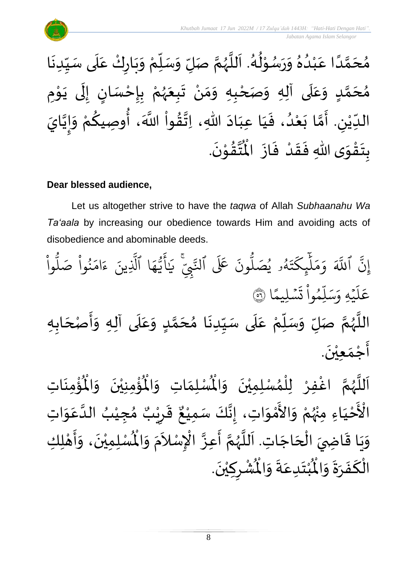

#### **Dear blessed audience,**

Let us altogether strive to have the *taqwa* of Allah *Subhaanahu Wa Ta'aala* by increasing our obedience towards Him and avoiding acts of disobedience and abominable deeds.

ْ وا ُّ ل صَ ْ وا ُ ن َ ام َ ء ِينَ َّ ا ٱَّل َ ه ُّ ي َ أ َٰ َ ي ِّۚ ِ ِب َّ ٱنل لَع ََ َ ون ُّ ل صَ ُ ۥ ي ُ ه َ ت َ ِك ئ ََٰٓ ل َ م َ و ََّ ٱَّلل َّ إِن ا ا لِيم ۡ س َ ت ْ وا ُ ِم ل َ س َ هِ و ۡ ي َ ل <sup>ع</sup> <sup>٥٦</sup> َ َ ع َ د و ٍ ا م َ ح ُ ا م َ دن ي ى سَ َ ل َ ع ْ م ل سَ َ و ل صَ ا م ُ ه ا ه الل اب َ ْصح َ أ َ ه و ى آل َ ل َ ن ْ عي َ م ْ ج َ أ .

ؙۊؙ۠ڡؚڹؘٳؾؚ  $\ddot{\phantom{0}}$ ់<br>: ُْ ُؤْمِنِيْنَ ۖ وَالْمُ  $\frac{1}{2}$  $\ddot{\phantom{0}}$ ْ ْ<br>م  $\mathbf{r}^{\circ}$ ِ<br>لْمُسْلِمَاتِ وَالْمُ  $\frac{1}{2}$  $\frac{1}{2}$ ِ<br>اَللَّهُمَّ اغْفِرْ لِلْمُسْلِمِيْنَ وَالْمُ  $\frac{1}{2}$  $\ddot{\phantom{0}}$ ់<br>រ ›<br>ለ ٝ<br>ا ِ<br>و ن<br>م ر<br>ر<br>ر ا<br>آ ً<br>آ ن<br>أحْيَاءِ َ ֦֧֦֧<u>֦</u> ـــ<br>م<br>م الْأَحْيَاءِ مِنْهُمْ وَالأَمْوَاتِ، إِنَّكَ سَمِيْعٌ قَرِيْبٌ مُجِيْبُ الدَّعَوَاتِ ْ او<br>زړ ْ  $\frac{1}{2}$ י<br>ה ں<br>ج  $\ddot{\ }$ ِ<br>م ان<br>ا ُ ֦֧֦֧֦֧֝<u>֚</u>  $\frac{1}{2}$ ه<br>فيا قَرِرْ  $\overline{\phantom{a}}$  $\ddot{\ddot{\cdot}}$ ٌ ، إِنَّكَ سَمِيْعٌ ْ ن<br>•<br>•  $\frac{1}{2}$ ا ت. اجَ ح ال ي اض ا ق ي و ع أ م ه لل ك ا ل ه أ ، و ن مي ل سْ ُْ  $\overline{\phantom{a}}$ ֦֧֦֧֦֧֦֧֦֧֦֧֦֟֓<br>֧ׅׅ֝֜֜֜֜֜֜֜֜֜֜֜֜֜֜֜֬֓֟֓֟  $\overline{a}$ ์<br>:<br>:  $\ddot{\ }$  $\frac{1}{2}$  $\frac{1}{2}$ ن<br>م ر<br>ر<br>ر ة<br>أ ا<br>أ י<br>**י**  $\frac{1}{2}$  $\tilde{\cdot}$  $\ddot{\phantom{0}}$ ْ رَّ الْإِسْلاَمَ وَالْمُ  $\frac{1}{2}$ ر<br>د  $\tilde{\phantom{a}}$ ا<br>م بة .  $\ddot{\phantom{0}}$ ؙۺ۠ڔڮؽۨڹؘ ا<br>ا  $\overline{\phantom{a}}$ ْ  $\ddot{\text{r}}$ ُبْتَدِعَةً وَالْمُ  $\frac{1}{2}$  $\frac{1}{2}$ .<br>م  $\ddot{\ }$ ْ  $\boldsymbol{r}$ الْكَفَرَةَ وَالْمُ  $\frac{1}{2}$  $\ddot{\phantom{0}}$  $\frac{1}{2}$  $\ddot{\cdot}$ َ بــ<br>أ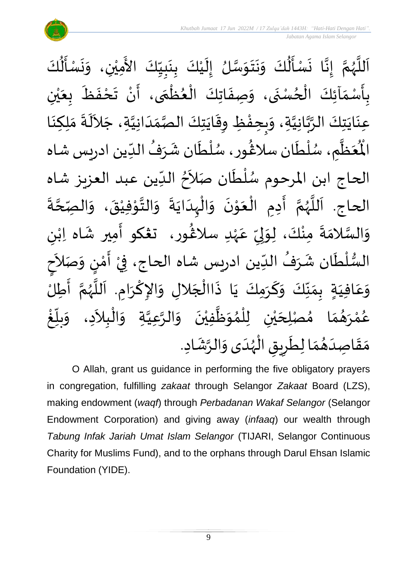

ِ<br>اَللَّهُمَّ إِنَّا نَسْأَلُكَ وَنَتَوَسَّلُ إِلَيْكَ بِنَبِيِّكَ الأَمِيْنِ، وَنَسْأَلُكَ ُ<br>اُ∱  $\sum_{i=1}^{n}$  $\ddot{\phantom{0}}$  $\tilde{\cdot}$ ْ َ<br>ج  $\frac{1}{1}$  $\frac{1}{2}$ <u>لم</u><br>:  $\ddot{\phantom{0}}$ <u>د</u><br>: ْ  $\tilde{\mathbf{r}}$  $\frac{1}{2}$ ا<br>ما  $\frac{1}{2}$  $\ddot{\ }$  $\ddot{\phantom{0}}$  $\frac{1}{2}$ ہو<br>ا  $\frac{1}{2}$  $\ddot{\phantom{0}}$ لة<br>•  $\frac{1}{2}$ ن<br>م ر<br>ر<br>ر ا<br>آ  $\mathbf{r}$ ْ ي َ .<br>بِأَسْمَاَئِكَ الْحُسْنَى، وَصِفَاتِكَ الْعُظُمَى، أَنْ تَحْفَظَ بِعَيْنِ  $\frac{1}{\sqrt{2}}$  $\ddot{\cdot}$  $\frac{1}{2}$ ْ  $\sum_{i=1}^{n}$ ر<br>م ֦֧֦֧֦֧֦֧֦֧֦֧֦֧֦֧֦֧֦֧֦֧֦֧֦֧֝֝֟֓֓֟֓֓֟֓֓<br>**֧**  $\frac{1}{2}$ ֦֧֦֧֦֧֦֧֦֧֦֜֜֜֜֜֜֜<br>֧ׅׅ֝֜֜֜֜֜֜֜֜֜֜֝֜֜֝֜<del>֟</del>  $\ddot{\cdot}$  $\frac{1}{2}$  $\ddot{\phantom{0}}$ ٍ<br>ِ ْ  $\frac{1}{2}$  $\frac{1}{2}$  $\ddot{\cdot}$  $\ddot{\cdot}$ ِ<br>عِنَايَتِكَ الرَّبَّانِيَّةِ، وَبِحِفْظِ وِقَايَتِكَ الصَّمَدَانِيَّةِ، جَلاَلَةَ مَلِكِنَا ِ<br>پ  $\tilde{\phantom{0}}$ ان<br>ا  $\frac{1}{1}$  $\frac{1}{2}$ اتا<br>مر  $\ddot{\phantom{0}}$  $\frac{1}{2}$ ້<br>: ر<br>خ  $\frac{1}{2}$ ان<br>ا ن<br>م<br>۱ انہ<br>م  $\ddot{\phantom{0}}$  $\ddot{\phantom{0}}$  $\ddot{\phantom{0}}$  $\frac{1}{2}$ ْعَظَّمِ، سُلْطَان سلَاڠُور، سُلْطَان شَرَفُ الدِّين ادريس شاه  $\frac{1}{\sqrt{2}}$ ُ  $\frac{1}{2}$ ر<br>م ֦֧֦֧֦ ٍ<br>م )<br>፟<br>፟ ر<br>م ر<br>أ ٍ<br>م ر<br>آباد  $\frac{1}{2}$ ر<br>مو الما الحاج ابن المرحوم سُلْطَان صَلاَحُ الدِّين عبد العزيز شاه  $\frac{1}{2}$ ُ  $\sim$  $\ddot{\cdot}$ ا<br>ا و<br>م  $\frac{1}{2}$ الحاج. اَللَّهُمَّ أَدِمِ الْعَوْنَ وَالْبِدَايَةَ وَالتَّوْفِيْقَ، وَ  $\ddot{\phantom{0}}$ ់<br>់  $\frac{1}{2}$ ْ  $\frac{1}{2}$ َ انا<br>م و<br>ر<br>ر ا<br>ا `<br>آ  $\ddot{\cdot}$ .<br>الصّحّةَ ن<br>م  $\frac{1}{2}$  $\ddot{\phantom{0}}$ ْ י<br>י انا  $\frac{1}{2}$  $\ddot{\cdot}$  $\ddot{\phantom{0}}$ ا<br>ا ้<br>∤ ى<br>وَالسَّلامَةَ مِنْكَ، لِوَلِيِّ عَهْدِ سلاڠُورِ، تَعْكُو أَمِيرِ شَاه اِبْنِ ْ  $\frac{1}{2}$ ֝֝֝֝֝֝֝֟֝֝֝֝֝֝֝֝<br>֧֝֝֝֝֝֝֝֝֝֝<br>֧֝֝֝֝֝֝֝֝֝ )<br>፟<br>፟ ٝ<br>ر ِ<br>م ม<br>"  $\frac{1}{2}$ لمح  $\frac{1}{2}$ ំ<br>•  $\frac{1}{2}$  $\frac{1}{2}$ ا<br>ما  $\frac{1}{2}$ ।<br>त السُّلْطَان شَرَفُ الدِّين ادريس شاه الحاج، فِيْ أَمْنٍ وَصَلاَحٍ َ  $\tilde{\cdot}$ )<br>إ י<br>י  $\sum_{i=1}^{n}$ ْ  $\frac{1}{2}$ ُ ِرِ ์<br>ิ์ ٝ<br>ا ر<br>بر<br>سا ે<br>કે<br>ડ وَعَافِيَةٍ بِمَنَّكَ وَكَرَمِكَ يَا ذَاالْجَلالِ وَالإِكْرَامِ. اَللَّهُمَّ أَطِلُ سم<br>تار<br>ا  $\overline{\phantom{a}}$  $\ddot{\phantom{0}}$ ْ  $\frac{1}{2}$  $\overline{\phantom{a}}$ ا<br>أ  $\ddot{\cdot}$  $\ddot{\phantom{0}}$ ์<br>-<br>- $\frac{1}{2}$  $\frac{1}{2}$  $\frac{1}{2}$  $\frac{1}{2}$  $\frac{1}{2}$ َ .<br>م  $\frac{1}{2}$ ا<br>:<br>: تا<br>م ֧֞֟<u>֚</u> غ .<br>ا  $\sum_{i=1}^{n}$ بلآ  $\tilde{\cdot}$ الْبِلاَدِ، وَ  $\tilde{\phantom{a}}$ ֦֧֦֧֦֧<u>֦</u> ا<br>ا لِحَيْنِ لِلْمُوَظَّفِيْنَ وَالرَّعِيَّةِ وَ ان<br>ا اتا<br>ا ์  $\ddot{\phantom{0}}$ ់<br>រ ا<br>ا  $\frac{1}{2}$ ๋<br>ለ ֦֧֦֧֦֧֦֧֦֧֦֧֦֧֦֧֜֜֓֓<br>֧֜֜֜֜ ់<br>ព ي  $\overline{\phantom{a}}$ صْ ا م  $\frac{1}{2}$  $\frac{1}{2}$ م  $\frac{1}{2}$ و<br>پھر رَ **ٔ** ه<br>لم و<br>م و<br>ڪ مَقَاصِدَهُمَا لِطَرِيقِ الْهُدَى وَالرَّشَادِ. ្រ  $\tilde{\cdot}$ م<br>م ر<br>ر<br>ر ֦֧֦֧֦֧֦֧֦֧֦֧֦֜֜֜֓֓֟֓<br>֧ׅׅ֛֜֜֜֜֜֜֜֜֜֜֜֜֜֜֜֜֝֜֜ Ï  $\overline{\phantom{a}}$  $\frac{1}{\sqrt{2}}$  $\frac{1}{2}$  $\frac{1}{2}$ َ  $\frac{1}{2}$  $\frac{1}{2}$ 

O Allah, grant us guidance in performing the five obligatory prayers in congregation, fulfilling *zakaat* through Selangor *Zakaat* Board (LZS), making endowment (*waqf*) through *Perbadanan Wakaf Selangor* (Selangor Endowment Corporation) and giving away (*infaaq*) our wealth through *Tabung Infak Jariah Umat Islam Selangor* (TIJARI, Selangor Continuous Charity for Muslims Fund), and to the orphans through Darul Ehsan Islamic Foundation (YIDE).